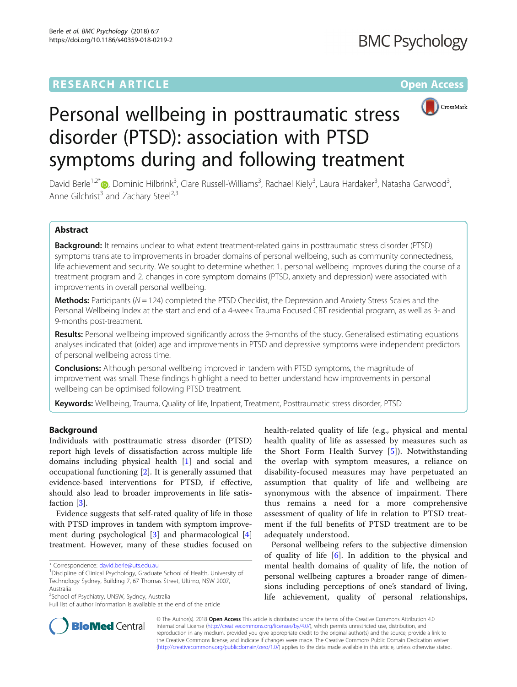## **RESEARCH ARTICLE Example 2014 12:30 The Contract of Contract ACCESS**



# Personal wellbeing in posttraumatic stress disorder (PTSD): association with PTSD symptoms during and following treatment

David Berle<sup>1[,](http://orcid.org/0000-0002-4861-2220)2\*</sup>®, Dominic Hilbrink<sup>3</sup>, Clare Russell-Williams<sup>3</sup>, Rachael Kiely<sup>3</sup>, Laura Hardaker<sup>3</sup>, Natasha Garwood<sup>3</sup> , Anne Gilchrist<sup>3</sup> and Zachary Steel<sup>2,3</sup>

### Abstract

Background: It remains unclear to what extent treatment-related gains in posttraumatic stress disorder (PTSD) symptoms translate to improvements in broader domains of personal wellbeing, such as community connectedness, life achievement and security. We sought to determine whether: 1. personal wellbeing improves during the course of a treatment program and 2. changes in core symptom domains (PTSD, anxiety and depression) were associated with improvements in overall personal wellbeing.

**Methods:** Participants ( $N = 124$ ) completed the PTSD Checklist, the Depression and Anxiety Stress Scales and the Personal Wellbeing Index at the start and end of a 4-week Trauma Focused CBT residential program, as well as 3- and 9-months post-treatment.

Results: Personal wellbeing improved significantly across the 9-months of the study. Generalised estimating equations analyses indicated that (older) age and improvements in PTSD and depressive symptoms were independent predictors of personal wellbeing across time.

**Conclusions:** Although personal wellbeing improved in tandem with PTSD symptoms, the magnitude of improvement was small. These findings highlight a need to better understand how improvements in personal wellbeing can be optimised following PTSD treatment.

Keywords: Wellbeing, Trauma, Quality of life, Inpatient, Treatment, Posttraumatic stress disorder, PTSD

#### Background

Individuals with posttraumatic stress disorder (PTSD) report high levels of dissatisfaction across multiple life domains including physical health [[1\]](#page-5-0) and social and occupational functioning [[2\]](#page-5-0). It is generally assumed that evidence-based interventions for PTSD, if effective, should also lead to broader improvements in life satisfaction [[3\]](#page-5-0).

Evidence suggests that self-rated quality of life in those with PTSD improves in tandem with symptom improvement during psychological [[3\]](#page-5-0) and pharmacological [\[4](#page-5-0)] treatment. However, many of these studies focused on

<sup>2</sup>School of Psychiatry, UNSW, Sydney, Australia

health-related quality of life (e.g., physical and mental health quality of life as assessed by measures such as the Short Form Health Survey [[5\]](#page-5-0)). Notwithstanding the overlap with symptom measures, a reliance on disability-focused measures may have perpetuated an assumption that quality of life and wellbeing are synonymous with the absence of impairment. There thus remains a need for a more comprehensive assessment of quality of life in relation to PTSD treatment if the full benefits of PTSD treatment are to be adequately understood.

Personal wellbeing refers to the subjective dimension of quality of life [\[6](#page-5-0)]. In addition to the physical and mental health domains of quality of life, the notion of personal wellbeing captures a broader range of dimensions including perceptions of one's standard of living, life achievement, quality of personal relationships,



© The Author(s). 2018 Open Access This article is distributed under the terms of the Creative Commons Attribution 4.0 International License [\(http://creativecommons.org/licenses/by/4.0/](http://creativecommons.org/licenses/by/4.0/)), which permits unrestricted use, distribution, and reproduction in any medium, provided you give appropriate credit to the original author(s) and the source, provide a link to the Creative Commons license, and indicate if changes were made. The Creative Commons Public Domain Dedication waiver [\(http://creativecommons.org/publicdomain/zero/1.0/](http://creativecommons.org/publicdomain/zero/1.0/)) applies to the data made available in this article, unless otherwise stated.

<sup>\*</sup> Correspondence: [david.berle@uts.edu.au](mailto:david.berle@uts.edu.au) <sup>1</sup>

<sup>&</sup>lt;sup>1</sup> Discipline of Clinical Psychology, Graduate School of Health, University of Technology Sydney, Building 7, 67 Thomas Street, Ultimo, NSW 2007, Australia

Full list of author information is available at the end of the article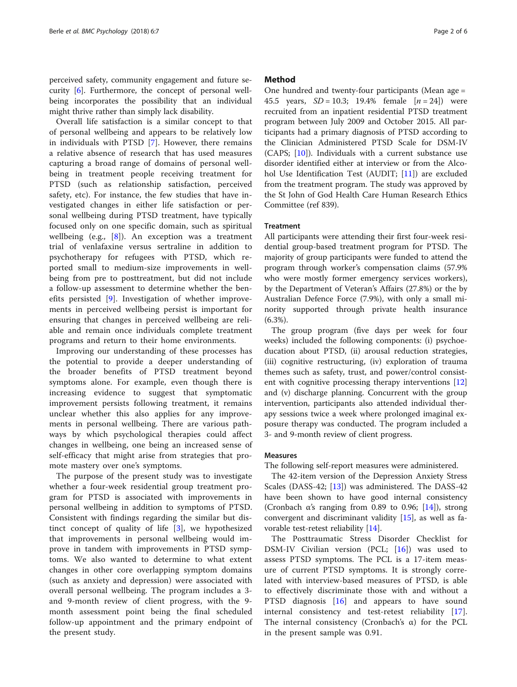perceived safety, community engagement and future security [\[6](#page-5-0)]. Furthermore, the concept of personal wellbeing incorporates the possibility that an individual might thrive rather than simply lack disability.

Overall life satisfaction is a similar concept to that of personal wellbeing and appears to be relatively low in individuals with PTSD [[7\]](#page-5-0). However, there remains a relative absence of research that has used measures capturing a broad range of domains of personal wellbeing in treatment people receiving treatment for PTSD (such as relationship satisfaction, perceived safety, etc). For instance, the few studies that have investigated changes in either life satisfaction or personal wellbeing during PTSD treatment, have typically focused only on one specific domain, such as spiritual wellbeing (e.g., [\[8](#page-5-0)]). An exception was a treatment trial of venlafaxine versus sertraline in addition to psychotherapy for refugees with PTSD, which reported small to medium-size improvements in wellbeing from pre to posttreatment, but did not include a follow-up assessment to determine whether the benefits persisted [\[9](#page-5-0)]. Investigation of whether improvements in perceived wellbeing persist is important for ensuring that changes in perceived wellbeing are reliable and remain once individuals complete treatment programs and return to their home environments.

Improving our understanding of these processes has the potential to provide a deeper understanding of the broader benefits of PTSD treatment beyond symptoms alone. For example, even though there is increasing evidence to suggest that symptomatic improvement persists following treatment, it remains unclear whether this also applies for any improvements in personal wellbeing. There are various pathways by which psychological therapies could affect changes in wellbeing, one being an increased sense of self-efficacy that might arise from strategies that promote mastery over one's symptoms.

The purpose of the present study was to investigate whether a four-week residential group treatment program for PTSD is associated with improvements in personal wellbeing in addition to symptoms of PTSD. Consistent with findings regarding the similar but distinct concept of quality of life [[3](#page-5-0)], we hypothesized that improvements in personal wellbeing would improve in tandem with improvements in PTSD symptoms. We also wanted to determine to what extent changes in other core overlapping symptom domains (such as anxiety and depression) were associated with overall personal wellbeing. The program includes a 3 and 9-month review of client progress, with the 9 month assessment point being the final scheduled follow-up appointment and the primary endpoint of the present study.

#### Method

One hundred and twenty-four participants (Mean age = 45.5 years,  $SD = 10.3$ ; 19.4% female  $[n = 24]$  were recruited from an inpatient residential PTSD treatment program between July 2009 and October 2015. All participants had a primary diagnosis of PTSD according to the Clinician Administered PTSD Scale for DSM-IV (CAPS; [\[10\]](#page-5-0)). Individuals with a current substance use disorder identified either at interview or from the Alcohol Use Identification Test (AUDIT; [\[11](#page-5-0)]) are excluded from the treatment program. The study was approved by the St John of God Health Care Human Research Ethics Committee (ref 839).

#### Treatment

All participants were attending their first four-week residential group-based treatment program for PTSD. The majority of group participants were funded to attend the program through worker's compensation claims (57.9% who were mostly former emergency services workers), by the Department of Veteran's Affairs (27.8%) or the by Australian Defence Force (7.9%), with only a small minority supported through private health insurance  $(6.3\%).$ 

The group program (five days per week for four weeks) included the following components: (i) psychoeducation about PTSD, (ii) arousal reduction strategies, (iii) cognitive restructuring, (iv) exploration of trauma themes such as safety, trust, and power/control consistent with cognitive processing therapy interventions [[12](#page-5-0)] and (v) discharge planning. Concurrent with the group intervention, participants also attended individual therapy sessions twice a week where prolonged imaginal exposure therapy was conducted. The program included a 3- and 9-month review of client progress.

#### Measures

The following self-report measures were administered.

The 42-item version of the Depression Anxiety Stress Scales (DASS-42; [\[13](#page-5-0)]) was administered. The DASS-42 have been shown to have good internal consistency (Cronbach α's ranging from 0.89 to 0.96; [[14\]](#page-5-0)), strong convergent and discriminant validity [\[15](#page-5-0)], as well as favorable test-retest reliability [[14\]](#page-5-0).

The Posttraumatic Stress Disorder Checklist for DSM-IV Civilian version (PCL; [[16\]](#page-5-0)) was used to assess PTSD symptoms. The PCL is a 17-item measure of current PTSD symptoms. It is strongly correlated with interview-based measures of PTSD, is able to effectively discriminate those with and without a PTSD diagnosis [[16\]](#page-5-0) and appears to have sound internal consistency and test-retest reliability [\[17](#page-5-0)]. The internal consistency (Cronbach's α) for the PCL in the present sample was 0.91.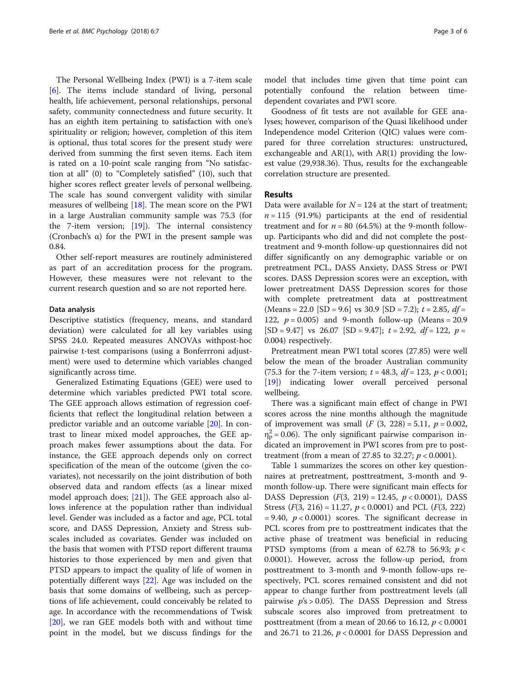The Personal Wellbeing Index (PWI) is a 7-item scale [[6\]](#page-5-0). The items include standard of living, personal health, life achievement, personal relationships, personal safety, community connectedness and future security. It has an eighth item pertaining to satisfaction with one's spirituality or religion; however, completion of this item is optional, thus total scores for the present study were derived from summing the first seven items. Each item is rated on a 10-point scale ranging from "No satisfaction at all" (0) to "Completely satisfied" (10), such that higher scores reflect greater levels of personal wellbeing. The scale has sound convergent validity with similar measures of wellbeing [\[18\]](#page-5-0). The mean score on the PWI in a large Australian community sample was 75.3 (for the 7-item version; [\[19](#page-5-0)]). The internal consistency (Cronbach's α) for the PWI in the present sample was 0.84.

Other self-report measures are routinely administered as part of an accreditation process for the program. However, these measures were not relevant to the current research question and so are not reported here.

#### Data analysis

Descriptive statistics (frequency, means, and standard deviation) were calculated for all key variables using SPSS 24.0. Repeated measures ANOVAs withpost-hoc pairwise t-test comparisons (using a Bonferrroni adjustment) were used to determine which variables changed significantly across time.

Generalized Estimating Equations (GEE) were used to determine which variables predicted PWI total score. The GEE approach allows estimation of regression coefficients that reflect the longitudinal relation between a predictor variable and an outcome variable [[20](#page-5-0)]. In contrast to linear mixed model approaches, the GEE approach makes fewer assumptions about the data. For instance, the GEE approach depends only on correct specification of the mean of the outcome (given the covariates), not necessarily on the joint distribution of both observed data and random effects (as a linear mixed model approach does; [[21\]](#page-5-0)). The GEE approach also allows inference at the population rather than individual level. Gender was included as a factor and age, PCL total score, and DASS Depression, Anxiety and Stress subscales included as covariates. Gender was included on the basis that women with PTSD report different trauma histories to those experienced by men and given that PTSD appears to impact the quality of life of women in potentially different ways [[22](#page-5-0)]. Age was included on the basis that some domains of wellbeing, such as perceptions of life achievement, could conceivably be related to age. In accordance with the recommendations of Twisk [[20\]](#page-5-0), we ran GEE models both with and without time point in the model, but we discuss findings for the

model that includes time given that time point can potentially confound the relation between timedependent covariates and PWI score.

Goodness of fit tests are not available for GEE analyses; however, comparison of the Quasi likelihood under Independence model Criterion (QIC) values were compared for three correlation structures: unstructured, exchangeable and  $AR(1)$ , with  $AR(1)$  providing the lowest value (29,938.36). Thus, results for the exchangeable correlation structure are presented.

#### Results

Data were available for  $N = 124$  at the start of treatment;  $n = 115$  (91.9%) participants at the end of residential treatment and for  $n = 80$  (64.5%) at the 9-month followup. Participants who did and did not complete the posttreatment and 9-month follow-up questionnaires did not differ significantly on any demographic variable or on pretreatment PCL, DASS Anxiety, DASS Stress or PWI scores. DASS Depression scores were an exception, with lower pretreatment DASS Depression scores for those with complete pretreatment data at posttreatment (Means = 22.0  $[SD = 9.6]$  vs 30.9  $[SD = 7.2]$ ;  $t = 2.85$ ,  $df =$ 122,  $p = 0.005$ ) and 9-month follow-up (Means = 20.9)  $[SD = 9.47]$  vs 26.07  $[SD = 9.47]$ ;  $t = 2.92$ ,  $df = 122$ ,  $p =$ 0.004) respectively.

Pretreatment mean PWI total scores (27.85) were well below the mean of the broader Australian community (75.3 for the 7-item version;  $t = 48.3$ ,  $df = 123$ ,  $p < 0.001$ ; [[19\]](#page-5-0)) indicating lower overall perceived personal wellbeing.

There was a significant main effect of change in PWI scores across the nine months although the magnitude of improvement was small  $(F (3, 228) = 5.11, p = 0.002,$  $\eta_p^2$  = 0.06). The only significant pairwise comparison indicated an improvement in PWI scores from pre to posttreatment (from a mean of 27.85 to 32.27;  $p < 0.0001$ ).

Table [1](#page-3-0) summarizes the scores on other key questionnaires at pretreatment, posttreatment, 3-month and 9 month follow-up. There were significant main effects for DASS Depression  $(F(3, 219) = 12.45, p < 0.0001)$ , DASS Stress ( $F(3, 216) = 11.27$ ,  $p < 0.0001$ ) and PCL ( $F(3, 222)$ )  $= 9.40, p < 0.0001$ ) scores. The significant decrease in PCL scores from pre to posttreatment indicates that the active phase of treatment was beneficial in reducing PTSD symptoms (from a mean of 62.78 to 56.93;  $p <$ 0.0001). However, across the follow-up period, from posttreatment to 3-month and 9-month follow-ups respectively, PCL scores remained consistent and did not appear to change further from posttreatment levels (all pairwise  $p's > 0.05$ ). The DASS Depression and Stress subscale scores also improved from pretreatment to posttreatment (from a mean of 20.66 to 16.12,  $p < 0.0001$ ) and 26.71 to 21.26,  $p < 0.0001$  for DASS Depression and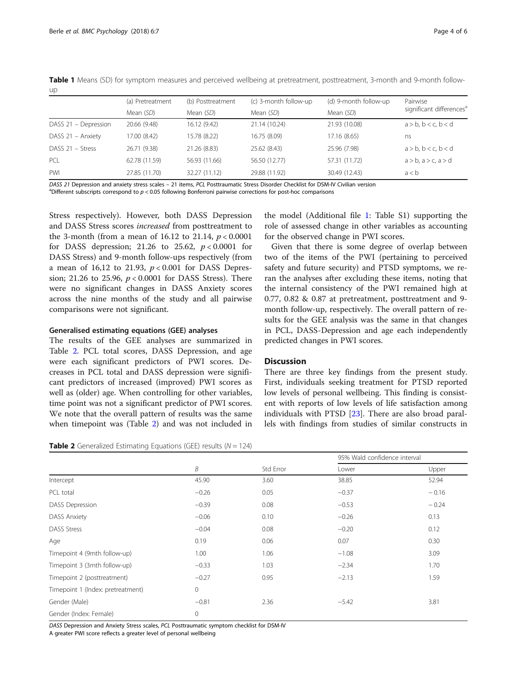|                      | (a) Pretreatment | (b) Posttreatment | (c) 3-month follow-up | (d) 9-month follow-up | Pairwise<br>significant differences <sup>a</sup> |  |
|----------------------|------------------|-------------------|-----------------------|-----------------------|--------------------------------------------------|--|
|                      | Mean (SD)        | Mean (SD)         | Mean (SD)             | Mean (SD)             |                                                  |  |
| DASS 21 - Depression | 20.66 (9.48)     | 16.12 (9.42)      | 21.14 (10.24)         | 21.93 (10.08)         | $a > b$ , $b < c$ , $b < d$                      |  |
| DASS 21 - Anxiety    | 17.00 (8.42)     | 15.78 (8.22)      | 16.75 (8.09)          | 17.16 (8.65)          | ns                                               |  |
| DASS 21 - Stress     | 26.71 (9.38)     | 21.26 (8.83)      | 25.62 (8.43)          | 25.96 (7.98)          | $a > b$ , $b < c$ , $b < d$                      |  |
| PCL                  | 62.78 (11.59)    | 56.93 (11.66)     | 56.50 (12.77)         | 57.31 (11.72)         | $a > b$ , $a > c$ , $a > d$                      |  |
| <b>PWI</b>           | 27.85 (11.70)    | 32.27 (11.12)     | 29.88 (11.92)         | 30.49 (12.43)         | a < b                                            |  |
| $-1.00 - 1.0$        | ---              | -----             |                       |                       |                                                  |  |

<span id="page-3-0"></span>Table 1 Means (SD) for symptom measures and perceived wellbeing at pretreatment, posttreatment, 3-month and 9-month followup

DASS 21 Depression and anxiety stress scales – 21 items, PCL Posttraumatic Stress Disorder Checklist for DSM-IV Civilian version <sup>a</sup>

<sup>a</sup>Different subscripts correspond to  $p < 0.05$  following Bonferroni pairwise corrections for post-hoc comparisons

Stress respectively). However, both DASS Depression and DASS Stress scores increased from posttreatment to the 3-month (from a mean of 16.12 to 21.14,  $p < 0.0001$ for DASS depression; 21.26 to 25.62,  $p < 0.0001$  for DASS Stress) and 9-month follow-ups respectively (from a mean of 16,12 to 21.93,  $p < 0.001$  for DASS Depression; 21.26 to 25.96,  $p < 0.0001$  for DASS Stress). There were no significant changes in DASS Anxiety scores across the nine months of the study and all pairwise comparisons were not significant.

#### Generalised estimating equations (GEE) analyses

The results of the GEE analyses are summarized in Table 2. PCL total scores, DASS Depression, and age were each significant predictors of PWI scores. Decreases in PCL total and DASS depression were significant predictors of increased (improved) PWI scores as well as (older) age. When controlling for other variables, time point was not a significant predictor of PWI scores. We note that the overall pattern of results was the same when timepoint was (Table 2) and was not included in

| <b>Table 2</b> Generalized Estimating Equations (GEE) results ( $N = 124$ ) |  |  |  |  |  |
|-----------------------------------------------------------------------------|--|--|--|--|--|
|-----------------------------------------------------------------------------|--|--|--|--|--|

the model (Additional file [1](#page-4-0): Table S1) supporting the role of assessed change in other variables as accounting for the observed change in PWI scores.

Given that there is some degree of overlap between two of the items of the PWI (pertaining to perceived safety and future security) and PTSD symptoms, we reran the analyses after excluding these items, noting that the internal consistency of the PWI remained high at 0.77, 0.82 & 0.87 at pretreatment, posttreatment and 9 month follow-up, respectively. The overall pattern of results for the GEE analysis was the same in that changes in PCL, DASS-Depression and age each independently predicted changes in PWI scores.

#### **Discussion**

There are three key findings from the present study. First, individuals seeking treatment for PTSD reported low levels of personal wellbeing. This finding is consistent with reports of low levels of life satisfaction among individuals with PTSD [\[23\]](#page-5-0). There are also broad parallels with findings from studies of similar constructs in

|                                   | $\boldsymbol{B}$ | Std Error | 95% Wald confidence interval |         |  |
|-----------------------------------|------------------|-----------|------------------------------|---------|--|
|                                   |                  |           | Lower                        | Upper   |  |
| Intercept                         | 45.90            | 3.60      | 38.85                        | 52.94   |  |
| PCL total                         | $-0.26$          | 0.05      | $-0.37$                      | $-0.16$ |  |
| <b>DASS Depression</b>            | $-0.39$          | 0.08      | $-0.53$                      | $-0.24$ |  |
| <b>DASS Anxiety</b>               | $-0.06$          | 0.10      | $-0.26$                      | 0.13    |  |
| <b>DASS Stress</b>                | $-0.04$          | 0.08      | $-0.20$                      | 0.12    |  |
| Age                               | 0.19             | 0.06      | 0.07                         | 0.30    |  |
| Timepoint 4 (9mth follow-up)      | 1.00             | 1.06      | $-1.08$                      | 3.09    |  |
| Timepoint 3 (3mth follow-up)      | $-0.33$          | 1.03      | $-2.34$                      | 1.70    |  |
| Timepoint 2 (posttreatment)       | $-0.27$          | 0.95      | $-2.13$                      | 1.59    |  |
| Timepoint 1 (Index: pretreatment) | $\mathbf 0$      |           |                              |         |  |
| Gender (Male)                     | $-0.81$          | 2.36      | $-5.42$                      | 3.81    |  |
| Gender (Index: Female)            | $\mathbf 0$      |           |                              |         |  |

DASS Depression and Anxiety Stress scales, PCL Posttraumatic symptom checklist for DSM-IV

A greater PWI score reflects a greater level of personal wellbeing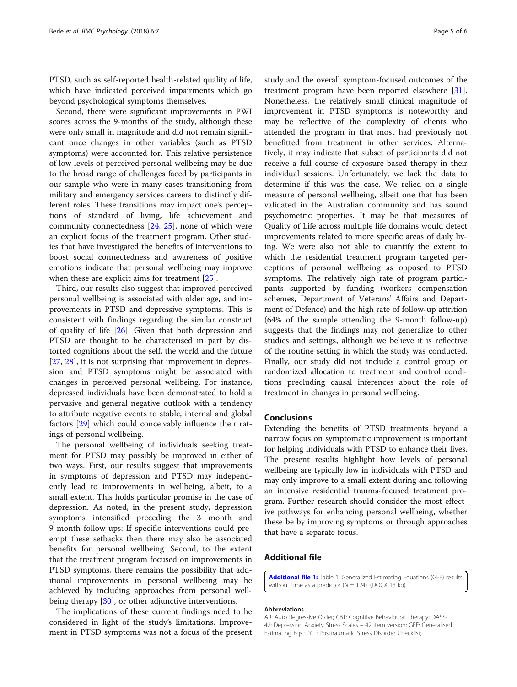<span id="page-4-0"></span>PTSD, such as self-reported health-related quality of life, which have indicated perceived impairments which go beyond psychological symptoms themselves.

Second, there were significant improvements in PWI scores across the 9-months of the study, although these were only small in magnitude and did not remain significant once changes in other variables (such as PTSD symptoms) were accounted for. This relative persistence of low levels of perceived personal wellbeing may be due to the broad range of challenges faced by participants in our sample who were in many cases transitioning from military and emergency services careers to distinctly different roles. These transitions may impact one's perceptions of standard of living, life achievement and community connectedness [\[24](#page-5-0), [25\]](#page-5-0), none of which were an explicit focus of the treatment program. Other studies that have investigated the benefits of interventions to boost social connectedness and awareness of positive emotions indicate that personal wellbeing may improve when these are explicit aims for treatment [\[25\]](#page-5-0).

Third, our results also suggest that improved perceived personal wellbeing is associated with older age, and improvements in PTSD and depressive symptoms. This is consistent with findings regarding the similar construct of quality of life [[26](#page-5-0)]. Given that both depression and PTSD are thought to be characterised in part by distorted cognitions about the self, the world and the future [[27,](#page-5-0) [28\]](#page-5-0), it is not surprising that improvement in depression and PTSD symptoms might be associated with changes in perceived personal wellbeing. For instance, depressed individuals have been demonstrated to hold a pervasive and general negative outlook with a tendency to attribute negative events to stable, internal and global factors [[29\]](#page-5-0) which could conceivably influence their ratings of personal wellbeing.

The personal wellbeing of individuals seeking treatment for PTSD may possibly be improved in either of two ways. First, our results suggest that improvements in symptoms of depression and PTSD may independently lead to improvements in wellbeing, albeit, to a small extent. This holds particular promise in the case of depression. As noted, in the present study, depression symptoms intensified preceding the 3 month and 9 month follow-ups: If specific interventions could preempt these setbacks then there may also be associated benefits for personal wellbeing. Second, to the extent that the treatment program focused on improvements in PTSD symptoms, there remains the possibility that additional improvements in personal wellbeing may be achieved by including approaches from personal well-being therapy [\[30](#page-5-0)], or other adjunctive interventions.

The implications of these current findings need to be considered in light of the study's limitations. Improvement in PTSD symptoms was not a focus of the present study and the overall symptom-focused outcomes of the treatment program have been reported elsewhere [\[31](#page-5-0)]. Nonetheless, the relatively small clinical magnitude of improvement in PTSD symptoms is noteworthy and may be reflective of the complexity of clients who attended the program in that most had previously not benefitted from treatment in other services. Alternatively, it may indicate that subset of participants did not receive a full course of exposure-based therapy in their individual sessions. Unfortunately, we lack the data to determine if this was the case. We relied on a single measure of personal wellbeing, albeit one that has been validated in the Australian community and has sound psychometric properties. It may be that measures of Quality of Life across multiple life domains would detect improvements related to more specific areas of daily living. We were also not able to quantify the extent to which the residential treatment program targeted perceptions of personal wellbeing as opposed to PTSD symptoms. The relatively high rate of program participants supported by funding (workers compensation schemes, Department of Veterans' Affairs and Department of Defence) and the high rate of follow-up attrition (64% of the sample attending the 9-month follow-up) suggests that the findings may not generalize to other studies and settings, although we believe it is reflective of the routine setting in which the study was conducted. Finally, our study did not include a control group or randomized allocation to treatment and control conditions precluding causal inferences about the role of treatment in changes in personal wellbeing.

#### Conclusions

Extending the benefits of PTSD treatments beyond a narrow focus on symptomatic improvement is important for helping individuals with PTSD to enhance their lives. The present results highlight how levels of personal wellbeing are typically low in individuals with PTSD and may only improve to a small extent during and following an intensive residential trauma-focused treatment program. Further research should consider the most effective pathways for enhancing personal wellbeing, whether these be by improving symptoms or through approaches that have a separate focus.

#### Additional file

[Additional file 1:](https://doi.org/10.1186/s40359-018-0219-2) Table 1. Generalized Estimating Equations (GEE) results without time as a predictor ( $N = 124$ ). (DOCX 13 kb)

#### Abbreviations

AR: Auto Regressive Order; CBT: Cognitive Behavioural Therapy; DASS-42: Depression Anxiety Stress Scales – 42 item version; GEE: Generalised Estimating Eqs.; PCL: Posttraumatic Stress Disorder Checklist;